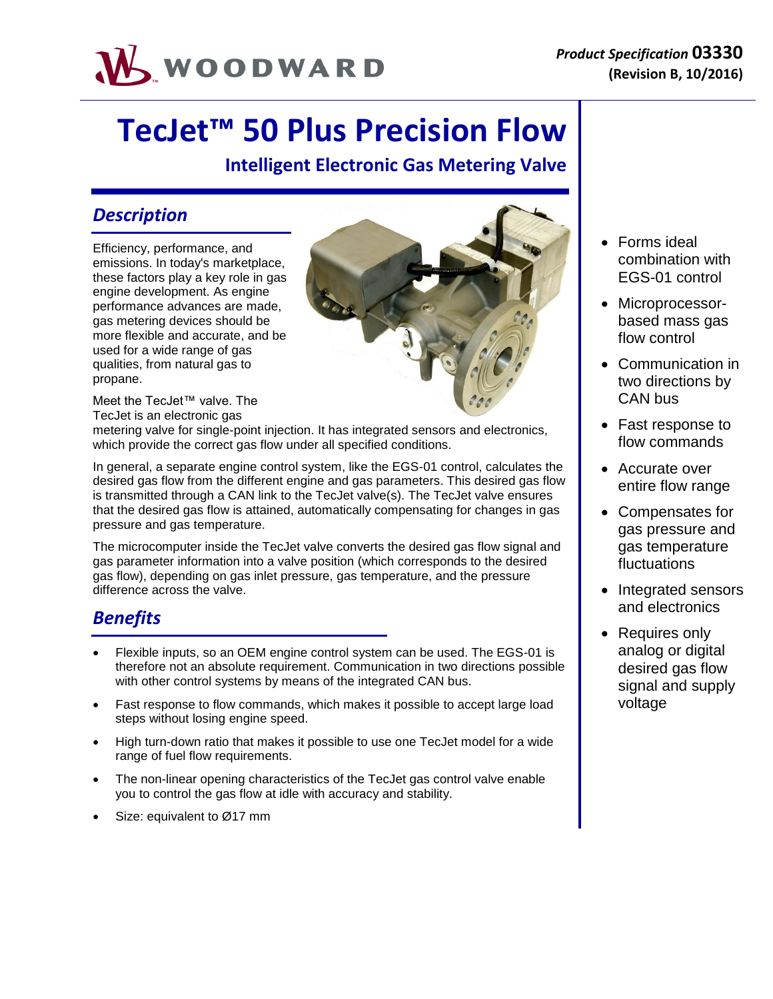

# **TecJet™ 50 Plus Precision Flow**

**Intelligent Electronic Gas Metering Valve**

### *Description*

Efficiency, performance, and emissions. In today's marketplace, these factors play a key role in gas engine development. As engine performance advances are made, gas metering devices should be more flexible and accurate, and be used for a wide range of gas qualities, from natural gas to propane.

Meet the TecJet™ valve. The TecJet is an electronic gas

metering valve for single-point injection. It has integrated sensors and electronics, which provide the correct gas flow under all specified conditions.

In general, a separate engine control system, like the EGS-01 control, calculates the desired gas flow from the different engine and gas parameters. This desired gas flow is transmitted through a CAN link to the TecJet valve(s). The TecJet valve ensures that the desired gas flow is attained, automatically compensating for changes in gas pressure and gas temperature.

The microcomputer inside the TecJet valve converts the desired gas flow signal and gas parameter information into a valve position (which corresponds to the desired gas flow), depending on gas inlet pressure, gas temperature, and the pressure difference across the valve.

### *Benefits*

- Flexible inputs, so an OEM engine control system can be used. The EGS-01 is therefore not an absolute requirement. Communication in two directions possible with other control systems by means of the integrated CAN bus.
- Fast response to flow commands, which makes it possible to accept large load steps without losing engine speed.
- High turn-down ratio that makes it possible to use one TecJet model for a wide range of fuel flow requirements.
- The non-linear opening characteristics of the TecJet gas control valve enable you to control the gas flow at idle with accuracy and stability.
- Size: equivalent to Ø17 mm



- Forms ideal combination with EGS-01 control
- Microprocessorbased mass gas flow control
- Communication in two directions by CAN bus
- Fast response to flow commands
- Accurate over entire flow range
- Compensates for gas pressure and gas temperature fluctuations
- Integrated sensors and electronics
- Requires only analog or digital desired gas flow signal and supply voltage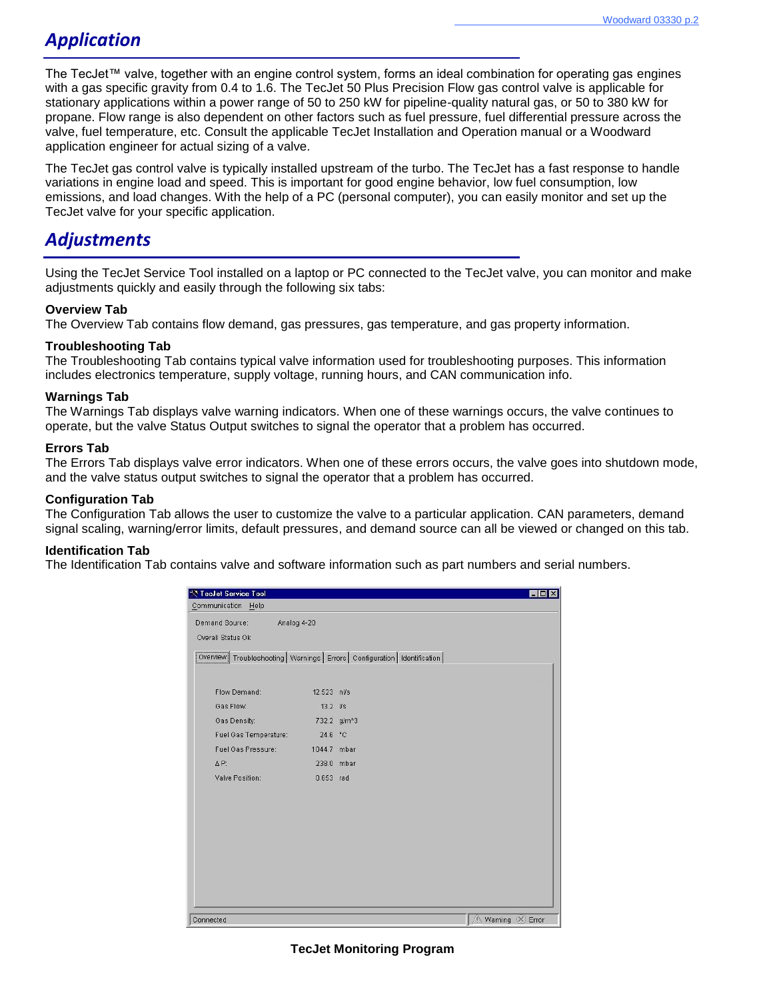### *Application*

The TecJet™ valve, together with an engine control system, forms an ideal combination for operating gas engines with a gas specific gravity from 0.4 to 1.6. The TecJet 50 Plus Precision Flow gas control valve is applicable for stationary applications within a power range of 50 to 250 kW for pipeline-quality natural gas, or 50 to 380 kW for propane. Flow range is also dependent on other factors such as fuel pressure, fuel differential pressure across the valve, fuel temperature, etc. Consult the applicable TecJet Installation and Operation manual or a Woodward application engineer for actual sizing of a valve.

The TecJet gas control valve is typically installed upstream of the turbo. The TecJet has a fast response to handle variations in engine load and speed. This is important for good engine behavior, low fuel consumption, low emissions, and load changes. With the help of a PC (personal computer), you can easily monitor and set up the TecJet valve for your specific application.

### *Adjustments*

Using the TecJet Service Tool installed on a laptop or PC connected to the TecJet valve, you can monitor and make adjustments quickly and easily through the following six tabs:

#### **Overview Tab**

The Overview Tab contains flow demand, gas pressures, gas temperature, and gas property information.

#### **Troubleshooting Tab**

The Troubleshooting Tab contains typical valve information used for troubleshooting purposes. This information includes electronics temperature, supply voltage, running hours, and CAN communication info.

#### **Warnings Tab**

The Warnings Tab displays valve warning indicators. When one of these warnings occurs, the valve continues to operate, but the valve Status Output switches to signal the operator that a problem has occurred.

#### **Errors Tab**

The Errors Tab displays valve error indicators. When one of these errors occurs, the valve goes into shutdown mode, and the valve status output switches to signal the operator that a problem has occurred.

#### **Configuration Tab**

The Configuration Tab allows the user to customize the valve to a particular application. CAN parameters, demand signal scaling, warning/error limits, default pressures, and demand source can all be viewed or changed on this tab.

#### **Identification Tab**

The Identification Tab contains valve and software information such as part numbers and serial numbers.

| Teclet Service Tool                                                           |                          |  | $ \Box$ $x$     |
|-------------------------------------------------------------------------------|--------------------------|--|-----------------|
| Communication Help                                                            |                          |  |                 |
| Demand Source:<br>Analog 4-20                                                 |                          |  |                 |
| Overall Status Ok                                                             |                          |  |                 |
| Overview Troubleshooting   Warnings   Errors   Configuration   Identification |                          |  |                 |
|                                                                               |                          |  |                 |
| Flow Demand:                                                                  | 12.523 nl/s              |  |                 |
| Gas Flow:                                                                     | $13.2$ I/s               |  |                 |
| Gas Density:                                                                  | 732.2 g/m <sup>A</sup> 3 |  |                 |
| Fuel Gas Temperature:                                                         | 24.6 °C                  |  |                 |
| Fuel Gas Pressure:                                                            | 1044.7 mbar              |  |                 |
| AP:                                                                           | 238.0 mbar               |  |                 |
| Valve Position:                                                               | 0.653 rad                |  |                 |
|                                                                               |                          |  |                 |
|                                                                               |                          |  |                 |
|                                                                               |                          |  |                 |
|                                                                               |                          |  |                 |
|                                                                               |                          |  |                 |
|                                                                               |                          |  |                 |
|                                                                               |                          |  |                 |
|                                                                               |                          |  |                 |
|                                                                               |                          |  |                 |
| Connected                                                                     |                          |  | Warning X Error |

**TecJet Monitoring Program**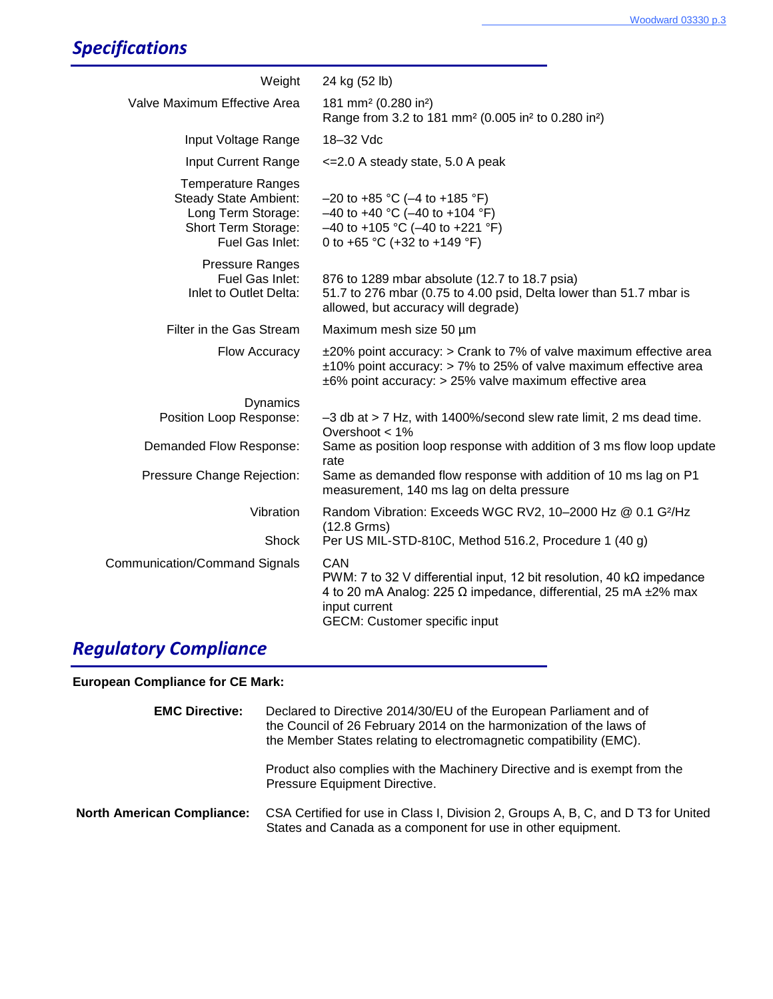# *Specifications*

| Weight                                                                                                             | 24 kg (52 lb)                                                                                                                                                                                                        |
|--------------------------------------------------------------------------------------------------------------------|----------------------------------------------------------------------------------------------------------------------------------------------------------------------------------------------------------------------|
| Valve Maximum Effective Area                                                                                       | 181 mm <sup>2</sup> (0.280 in <sup>2</sup> )<br>Range from 3.2 to 181 mm <sup>2</sup> (0.005 in <sup>2</sup> to 0.280 in <sup>2</sup> )                                                                              |
| Input Voltage Range                                                                                                | 18-32 Vdc                                                                                                                                                                                                            |
| Input Current Range                                                                                                | <= 2.0 A steady state, 5.0 A peak                                                                                                                                                                                    |
| <b>Temperature Ranges</b><br>Steady State Ambient:<br>Long Term Storage:<br>Short Term Storage:<br>Fuel Gas Inlet: | $-20$ to +85 °C (-4 to +185 °F)<br>$-40$ to +40 °C (-40 to +104 °F)<br>$-40$ to +105 °C (-40 to +221 °F)<br>0 to +65 °C (+32 to +149 °F)                                                                             |
| <b>Pressure Ranges</b><br>Fuel Gas Inlet:<br>Inlet to Outlet Delta:                                                | 876 to 1289 mbar absolute (12.7 to 18.7 psia)<br>51.7 to 276 mbar (0.75 to 4.00 psid, Delta lower than 51.7 mbar is<br>allowed, but accuracy will degrade)                                                           |
| Filter in the Gas Stream                                                                                           | Maximum mesh size 50 µm                                                                                                                                                                                              |
| Flow Accuracy                                                                                                      | $\pm$ 20% point accuracy: $>$ Crank to 7% of valve maximum effective area<br>$\pm$ 10% point accuracy: > 7% to 25% of valve maximum effective area<br>±6% point accuracy: > 25% valve maximum effective area         |
| <b>Dynamics</b>                                                                                                    |                                                                                                                                                                                                                      |
| Position Loop Response:                                                                                            | $-3$ db at $> 7$ Hz, with 1400%/second slew rate limit, 2 ms dead time.<br>Overshoot $<$ 1%                                                                                                                          |
| Demanded Flow Response:                                                                                            | Same as position loop response with addition of 3 ms flow loop update<br>rate                                                                                                                                        |
| Pressure Change Rejection:                                                                                         | Same as demanded flow response with addition of 10 ms lag on P1<br>measurement, 140 ms lag on delta pressure                                                                                                         |
| Vibration                                                                                                          | Random Vibration: Exceeds WGC RV2, 10-2000 Hz @ 0.1 G <sup>2</sup> /Hz<br>$(12.8 \text{ Grms})$                                                                                                                      |
| Shock                                                                                                              | Per US MIL-STD-810C, Method 516.2, Procedure 1 (40 g)                                                                                                                                                                |
| Communication/Command Signals                                                                                      | CAN<br>PWM: 7 to 32 V differential input, 12 bit resolution, 40 $k\Omega$ impedance<br>4 to 20 mA Analog: 225 $\Omega$ impedance, differential, 25 mA $\pm$ 2% max<br>input current<br>GECM: Customer specific input |
|                                                                                                                    |                                                                                                                                                                                                                      |

## *Regulatory Compliance*

**European Compliance for CE Mark:**

| <b>EMC Directive:</b>             | Declared to Directive 2014/30/EU of the European Parliament and of<br>the Council of 26 February 2014 on the harmonization of the laws of<br>the Member States relating to electromagnetic compatibility (EMC). |  |  |  |
|-----------------------------------|-----------------------------------------------------------------------------------------------------------------------------------------------------------------------------------------------------------------|--|--|--|
|                                   | Product also complies with the Machinery Directive and is exempt from the<br>Pressure Equipment Directive.                                                                                                      |  |  |  |
| <b>North American Compliance:</b> | CSA Certified for use in Class I, Division 2, Groups A, B, C, and D T3 for United<br>States and Canada as a component for use in other equipment.                                                               |  |  |  |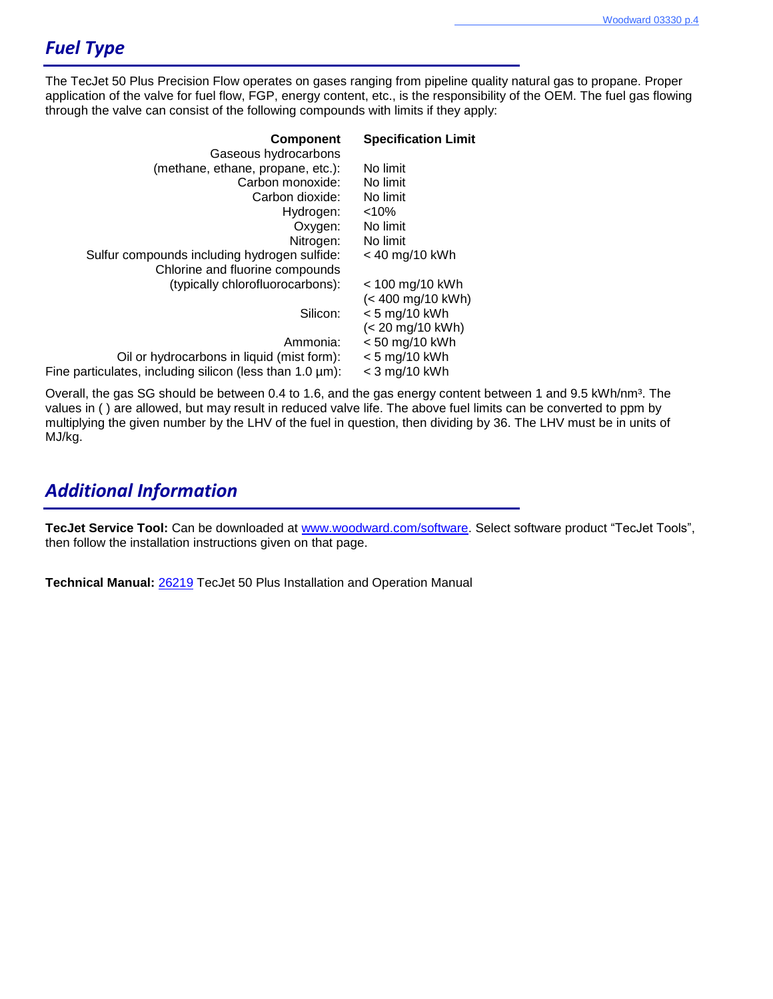### *Fuel Type*

Fine pa

The TecJet 50 Plus Precision Flow operates on gases ranging from pipeline quality natural gas to propane. Proper application of the valve for fuel flow, FGP, energy content, etc., is the responsibility of the OEM. The fuel gas flowing through the valve can consist of the following compounds with limits if they apply:

| <b>Component</b><br>Gaseous hydrocarbons                  | <b>Specification Limit</b> |
|-----------------------------------------------------------|----------------------------|
| (methane, ethane, propane, etc.):                         | No limit                   |
| Carbon monoxide:                                          | No limit                   |
| Carbon dioxide:                                           | No limit                   |
| Hydrogen:                                                 | < 10%                      |
| Oxygen:                                                   | No limit                   |
| Nitrogen:                                                 | No limit                   |
| Sulfur compounds including hydrogen sulfide:              | < 40 mg/10 kWh             |
| Chlorine and fluorine compounds                           |                            |
| (typically chlorofluorocarbons):                          | < 100 mg/10 kWh            |
|                                                           | (< 400 mg/10 kWh)          |
| Silicon:                                                  | $< 5$ mg/10 kWh            |
|                                                           | (< 20 mg/10 kWh)           |
| Ammonia:                                                  | < 50 mg/10 kWh             |
| Oil or hydrocarbons in liquid (mist form):                | $< 5$ mg/10 kWh            |
| rticulates, including silicon (less than $1.0 \,\mu m$ ): | $<$ 3 mg/10 kWh            |

Overall, the gas SG should be between 0.4 to 1.6, and the gas energy content between 1 and 9.5 kWh/nm<sup>3</sup>. The values in ( ) are allowed, but may result in reduced valve life. The above fuel limits can be converted to ppm by multiplying the given number by the LHV of the fuel in question, then dividing by 36. The LHV must be in units of MJ/kg.

### *Additional Information*

**TecJet Service Tool:** Can be downloaded at [www.woodward.com/software.](www.woodward.com/software) Select software product "TecJet Tools", then follow the installation instructions given on that page.

**Technical Manual:** [26219](http://www.woodward.com/workarea/downloadasset.aspx?id=2147483964) TecJet 50 Plus Installation and Operation Manual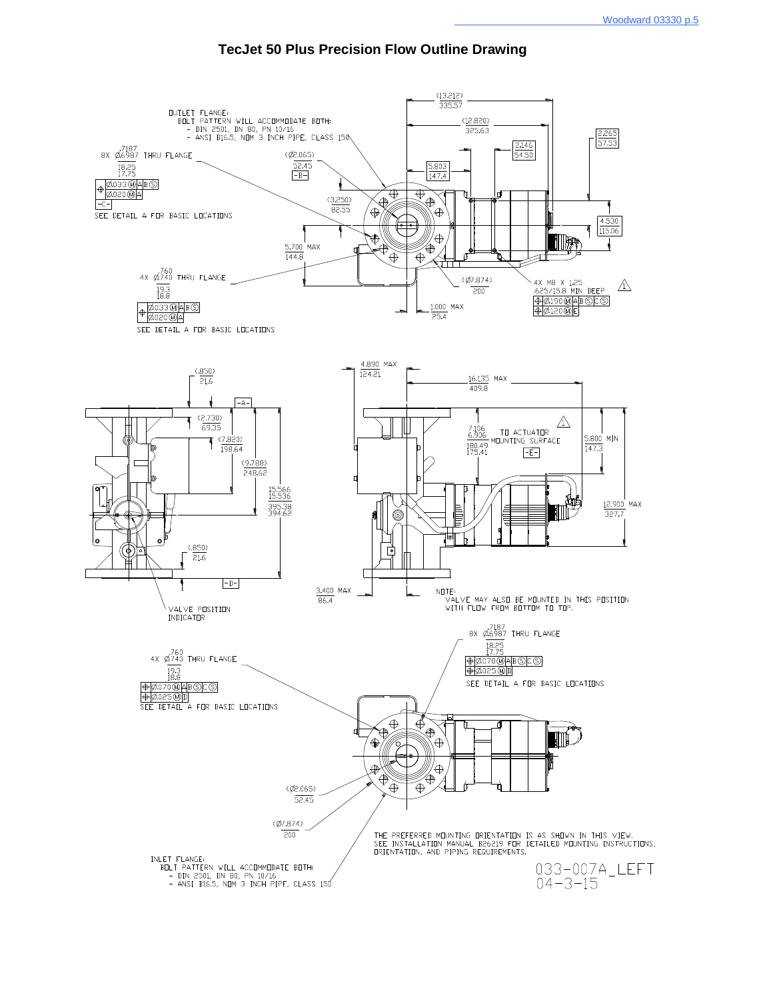